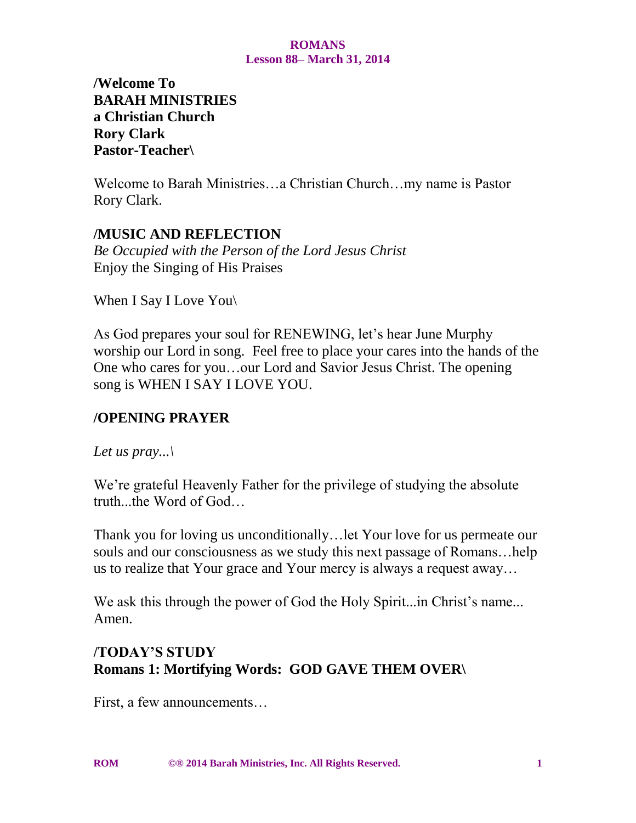**/Welcome To BARAH MINISTRIES a Christian Church Rory Clark Pastor-Teacher\**

Welcome to Barah Ministries…a Christian Church…my name is Pastor Rory Clark.

# **/MUSIC AND REFLECTION**

*Be Occupied with the Person of the Lord Jesus Christ* Enjoy the Singing of His Praises

When I Say I Love You\

As God prepares your soul for RENEWING, let's hear June Murphy worship our Lord in song. Feel free to place your cares into the hands of the One who cares for you…our Lord and Savior Jesus Christ. The opening song is WHEN I SAY I LOVE YOU.

# **/OPENING PRAYER**

*Let us pray...\*

We're grateful Heavenly Father for the privilege of studying the absolute truth...the Word of God…

Thank you for loving us unconditionally…let Your love for us permeate our souls and our consciousness as we study this next passage of Romans…help us to realize that Your grace and Your mercy is always a request away…

We ask this through the power of God the Holy Spirit...in Christ's name... Amen.

# **/TODAY'S STUDY Romans 1: Mortifying Words: GOD GAVE THEM OVER\**

First, a few announcements…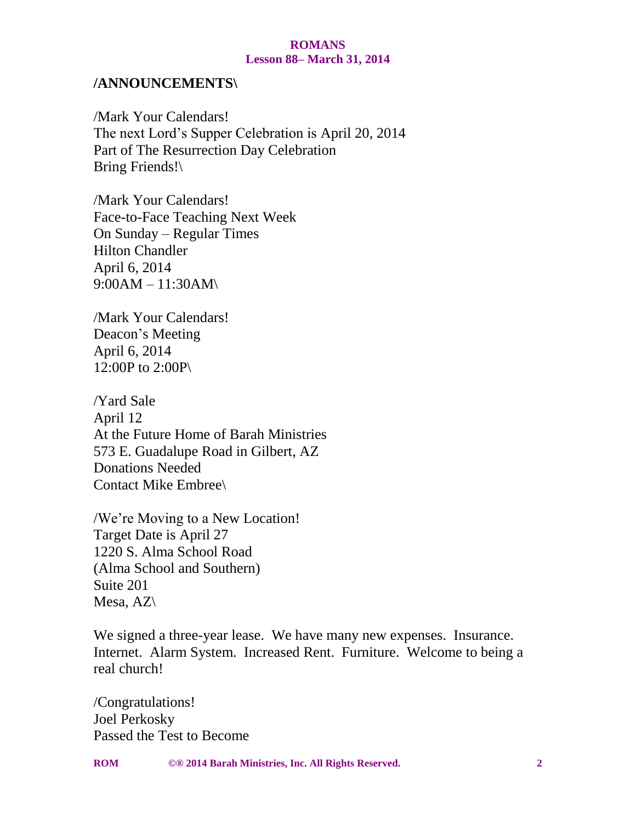#### **/ANNOUNCEMENTS\**

/Mark Your Calendars! The next Lord's Supper Celebration is April 20, 2014 Part of The Resurrection Day Celebration Bring Friends!\

/Mark Your Calendars! Face-to-Face Teaching Next Week On Sunday – Regular Times Hilton Chandler April 6, 2014 9:00AM – 11:30AM\

/Mark Your Calendars! Deacon's Meeting April 6, 2014 12:00P to 2:00P\

/Yard Sale April 12 At the Future Home of Barah Ministries 573 E. Guadalupe Road in Gilbert, AZ Donations Needed Contact Mike Embree\

/We're Moving to a New Location! Target Date is April 27 1220 S. Alma School Road (Alma School and Southern) Suite 201 Mesa, AZ\

We signed a three-year lease. We have many new expenses. Insurance. Internet. Alarm System. Increased Rent. Furniture. Welcome to being a real church!

/Congratulations! Joel Perkosky Passed the Test to Become

**ROM ©® 2014 Barah Ministries, Inc. All Rights Reserved. 2**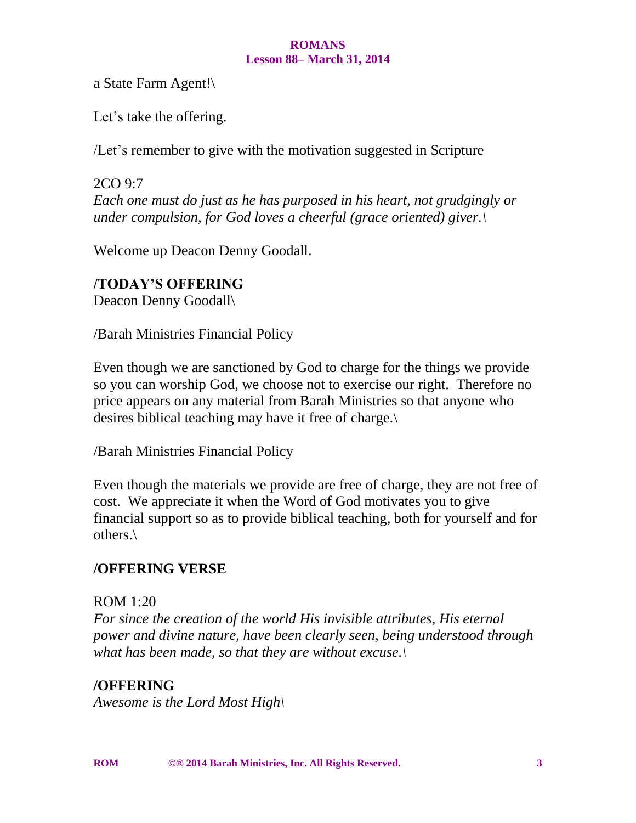a State Farm Agent!\

Let's take the offering.

/Let's remember to give with the motivation suggested in Scripture

2CO 9:7 *Each one must do just as he has purposed in his heart, not grudgingly or under compulsion, for God loves a cheerful (grace oriented) giver.\*

Welcome up Deacon Denny Goodall.

# **/TODAY'S OFFERING**

Deacon Denny Goodall\

/Barah Ministries Financial Policy

Even though we are sanctioned by God to charge for the things we provide so you can worship God, we choose not to exercise our right. Therefore no price appears on any material from Barah Ministries so that anyone who desires biblical teaching may have it free of charge.\

/Barah Ministries Financial Policy

Even though the materials we provide are free of charge, they are not free of cost. We appreciate it when the Word of God motivates you to give financial support so as to provide biblical teaching, both for yourself and for others.\

# **/OFFERING VERSE**

### ROM 1:20

*For since the creation of the world His invisible attributes, His eternal power and divine nature, have been clearly seen, being understood through what has been made, so that they are without excuse.\*

# **/OFFERING**

*Awesome is the Lord Most High\*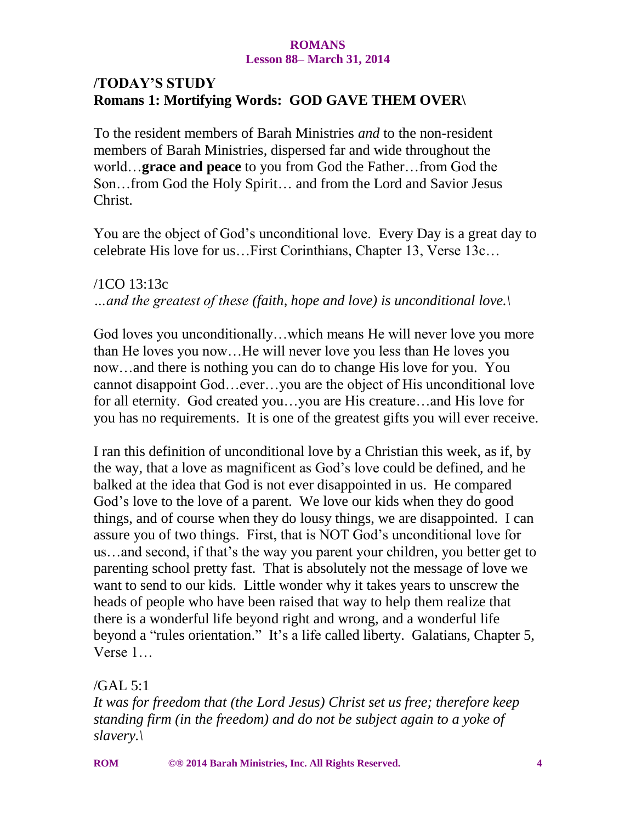# **/TODAY'S STUDY Romans 1: Mortifying Words: GOD GAVE THEM OVER\**

To the resident members of Barah Ministries *and* to the non-resident members of Barah Ministries, dispersed far and wide throughout the world…**grace and peace** to you from God the Father…from God the Son…from God the Holy Spirit… and from the Lord and Savior Jesus Christ.

You are the object of God's unconditional love. Every Day is a great day to celebrate His love for us…First Corinthians, Chapter 13, Verse 13c…

/1CO 13:13c *…and the greatest of these (faith, hope and love) is unconditional love.\*

God loves you unconditionally…which means He will never love you more than He loves you now…He will never love you less than He loves you now…and there is nothing you can do to change His love for you. You cannot disappoint God…ever…you are the object of His unconditional love for all eternity. God created you…you are His creature…and His love for you has no requirements. It is one of the greatest gifts you will ever receive.

I ran this definition of unconditional love by a Christian this week, as if, by the way, that a love as magnificent as God's love could be defined, and he balked at the idea that God is not ever disappointed in us. He compared God's love to the love of a parent. We love our kids when they do good things, and of course when they do lousy things, we are disappointed. I can assure you of two things. First, that is NOT God's unconditional love for us…and second, if that's the way you parent your children, you better get to parenting school pretty fast. That is absolutely not the message of love we want to send to our kids. Little wonder why it takes years to unscrew the heads of people who have been raised that way to help them realize that there is a wonderful life beyond right and wrong, and a wonderful life beyond a "rules orientation." It's a life called liberty. Galatians, Chapter 5, Verse 1…

/GAL 5:1

*It was for freedom that (the Lord Jesus) Christ set us free; therefore keep standing firm (in the freedom) and do not be subject again to a yoke of slavery.\*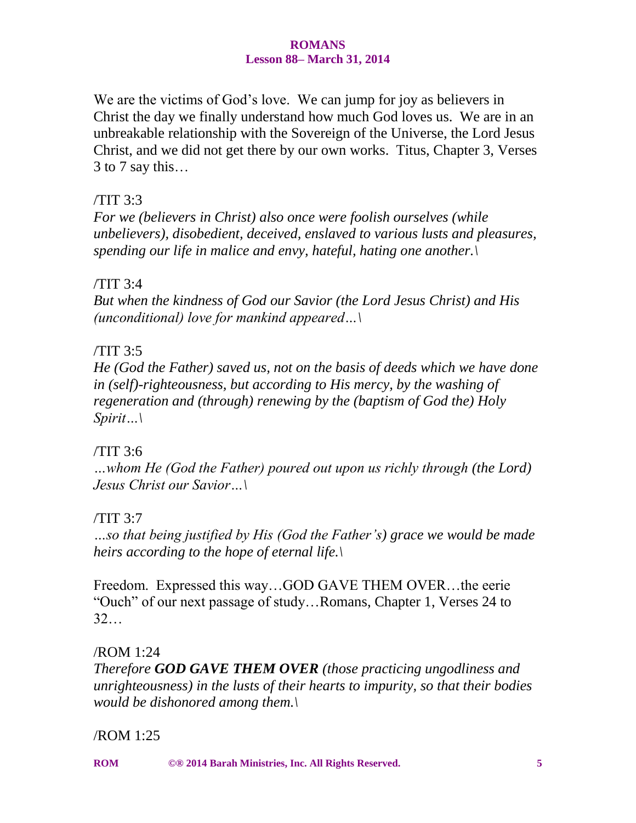We are the victims of God's love. We can jump for joy as believers in Christ the day we finally understand how much God loves us. We are in an unbreakable relationship with the Sovereign of the Universe, the Lord Jesus Christ, and we did not get there by our own works. Titus, Chapter 3, Verses 3 to 7 say this…

# /TIT 3:3

*For we (believers in Christ) also once were foolish ourselves (while unbelievers), disobedient, deceived, enslaved to various lusts and pleasures, spending our life in malice and envy, hateful, hating one another.\*

### /TIT 3:4

*But when the kindness of God our Savior (the Lord Jesus Christ) and His (unconditional) love for mankind appeared…\*

### /TIT 3:5

*He (God the Father) saved us, not on the basis of deeds which we have done in (self)-righteousness, but according to His mercy, by the washing of regeneration and (through) renewing by the (baptism of God the) Holy Spirit…\*

### /TIT 3:6

*…whom He (God the Father) poured out upon us richly through (the Lord) Jesus Christ our Savior…\*

### /TIT 3:7

*…so that being justified by His (God the Father's) grace we would be made heirs according to the hope of eternal life.\*

Freedom. Expressed this way…GOD GAVE THEM OVER…the eerie "Ouch" of our next passage of study…Romans, Chapter 1, Verses 24 to 32…

### /ROM 1:24

*Therefore GOD GAVE THEM OVER (those practicing ungodliness and unrighteousness) in the lusts of their hearts to impurity, so that their bodies would be dishonored among them.\*

### /ROM 1:25

**ROM ©® 2014 Barah Ministries, Inc. All Rights Reserved. 5**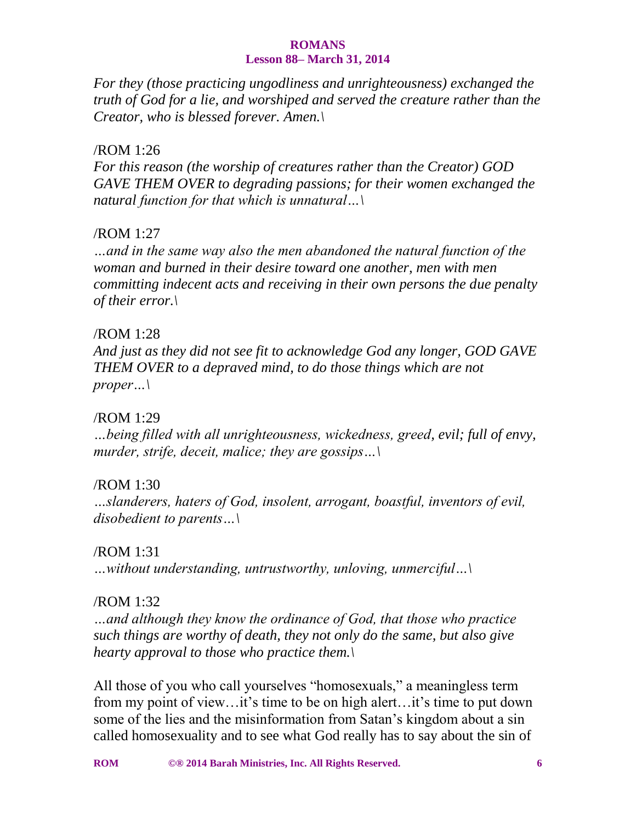*For they (those practicing ungodliness and unrighteousness) exchanged the truth of God for a lie, and worshiped and served the creature rather than the Creator, who is blessed forever. Amen.\*

### /ROM 1:26

*For this reason (the worship of creatures rather than the Creator) GOD GAVE THEM OVER to degrading passions; for their women exchanged the natural function for that which is unnatural…\*

### /ROM 1:27

*…and in the same way also the men abandoned the natural function of the woman and burned in their desire toward one another, men with men committing indecent acts and receiving in their own persons the due penalty of their error.\*

### /ROM 1:28

*And just as they did not see fit to acknowledge God any longer, GOD GAVE THEM OVER to a depraved mind, to do those things which are not proper…\*

### /ROM 1:29

*…being filled with all unrighteousness, wickedness, greed, evil; full of envy, murder, strife, deceit, malice; they are gossips…\*

### /ROM 1:30

*…slanderers, haters of God, insolent, arrogant, boastful, inventors of evil, disobedient to parents…\*

### /ROM 1:31

*…without understanding, untrustworthy, unloving, unmerciful…\*

### /ROM 1:32

*…and although they know the ordinance of God, that those who practice such things are worthy of death, they not only do the same, but also give hearty approval to those who practice them.\*

All those of you who call yourselves "homosexuals," a meaningless term from my point of view…it's time to be on high alert…it's time to put down some of the lies and the misinformation from Satan's kingdom about a sin called homosexuality and to see what God really has to say about the sin of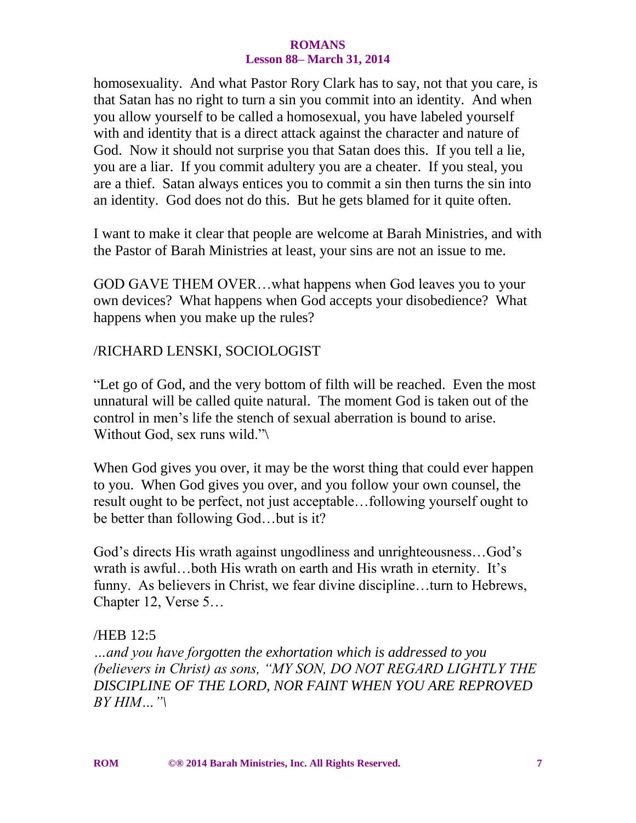homosexuality. And what Pastor Rory Clark has to say, not that you care, is that Satan has no right to turn a sin you commit into an identity. And when you allow yourself to be called a homosexual, you have labeled yourself with and identity that is a direct attack against the character and nature of God. Now it should not surprise you that Satan does this. If you tell a lie, you are a liar. If you commit adultery you are a cheater. If you steal, you are a thief. Satan always entices you to commit a sin then turns the sin into an identity. God does not do this. But he gets blamed for it quite often.

I want to make it clear that people are welcome at Barah Ministries, and with the Pastor of Barah Ministries at least, your sins are not an issue to me.

GOD GAVE THEM OVER…what happens when God leaves you to your own devices? What happens when God accepts your disobedience? What happens when you make up the rules?

#### /RICHARD LENSKI, SOCIOLOGIST

"Let go of God, and the very bottom of filth will be reached. Even the most unnatural will be called quite natural. The moment God is taken out of the control in men's life the stench of sexual aberration is bound to arise. Without God, sex runs wild."\

When God gives you over, it may be the worst thing that could ever happen to you. When God gives you over, and you follow your own counsel, the result ought to be perfect, not just acceptable…following yourself ought to be better than following God…but is it?

God's directs His wrath against ungodliness and unrighteousness…God's wrath is awful…both His wrath on earth and His wrath in eternity. It's funny. As believers in Christ, we fear divine discipline…turn to Hebrews, Chapter 12, Verse 5…

#### /HEB 12:5

*…and you have forgotten the exhortation which is addressed to you (believers in Christ) as sons, "MY SON, DO NOT REGARD LIGHTLY THE DISCIPLINE OF THE LORD, NOR FAINT WHEN YOU ARE REPROVED BY HIM…"\*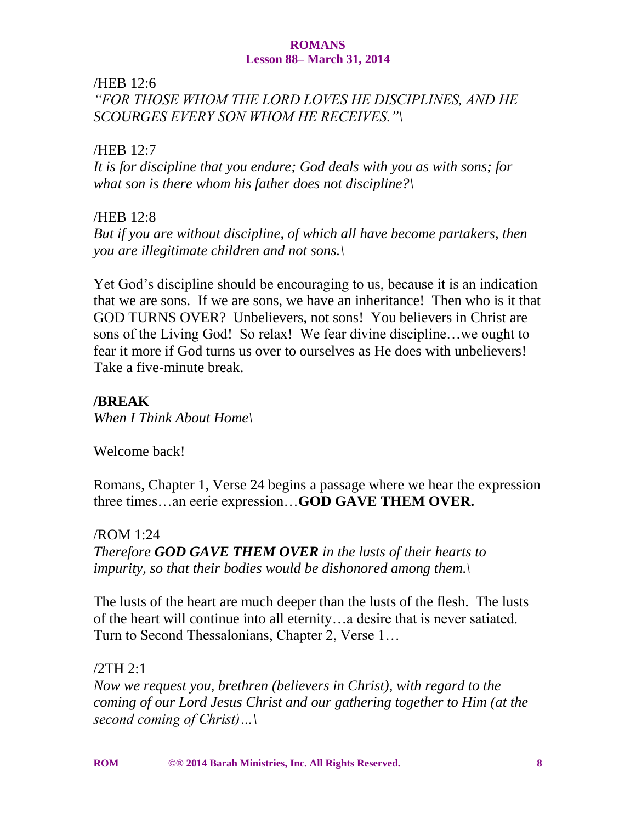/HEB 12:6

*"FOR THOSE WHOM THE LORD LOVES HE DISCIPLINES, AND HE SCOURGES EVERY SON WHOM HE RECEIVES."\*

### /HEB 12:7

*It is for discipline that you endure; God deals with you as with sons; for what son is there whom his father does not discipline?\*

### /HEB 12:8

*But if you are without discipline, of which all have become partakers, then you are illegitimate children and not sons.\*

Yet God's discipline should be encouraging to us, because it is an indication that we are sons. If we are sons, we have an inheritance! Then who is it that GOD TURNS OVER? Unbelievers, not sons! You believers in Christ are sons of the Living God! So relax! We fear divine discipline…we ought to fear it more if God turns us over to ourselves as He does with unbelievers! Take a five-minute break.

# **/BREAK**

*When I Think About Home\*

Welcome back!

Romans, Chapter 1, Verse 24 begins a passage where we hear the expression three times…an eerie expression…**GOD GAVE THEM OVER.**

/ROM 1:24 *Therefore GOD GAVE THEM OVER in the lusts of their hearts to impurity, so that their bodies would be dishonored among them.\*

The lusts of the heart are much deeper than the lusts of the flesh. The lusts of the heart will continue into all eternity…a desire that is never satiated. Turn to Second Thessalonians, Chapter 2, Verse 1…

/2TH 2:1

*Now we request you, brethren (believers in Christ), with regard to the coming of our Lord Jesus Christ and our gathering together to Him (at the second coming of Christ)…\*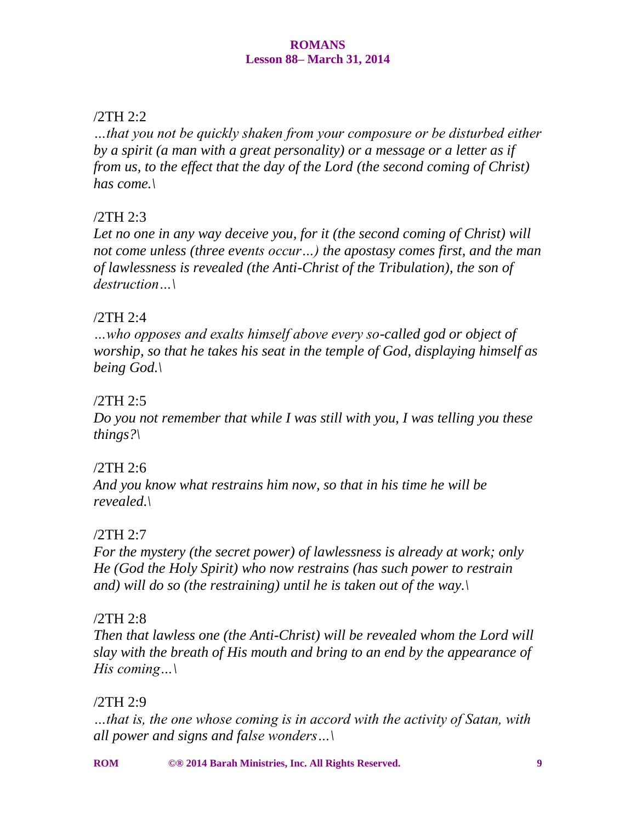## /2TH 2:2

*…that you not be quickly shaken from your composure or be disturbed either by a spirit (a man with a great personality) or a message or a letter as if from us, to the effect that the day of the Lord (the second coming of Christ) has come.\*

# /2TH 2:3

*Let no one in any way deceive you, for it (the second coming of Christ) will not come unless (three events occur…) the apostasy comes first, and the man of lawlessness is revealed (the Anti-Christ of the Tribulation), the son of destruction…\*

### /2TH 2:4

*…who opposes and exalts himself above every so-called god or object of worship, so that he takes his seat in the temple of God, displaying himself as being God.\*

# /2TH 2:5

*Do you not remember that while I was still with you, I was telling you these things?\*

### /2TH 2:6

*And you know what restrains him now, so that in his time he will be revealed.\*

# /2TH 2:7

*For the mystery (the secret power) of lawlessness is already at work; only He (God the Holy Spirit) who now restrains (has such power to restrain and) will do so (the restraining) until he is taken out of the way.\*

### /2TH 2:8

*Then that lawless one (the Anti-Christ) will be revealed whom the Lord will slay with the breath of His mouth and bring to an end by the appearance of His coming…\*

# /2TH 2:9

*…that is, the one whose coming is in accord with the activity of Satan, with all power and signs and false wonders…\*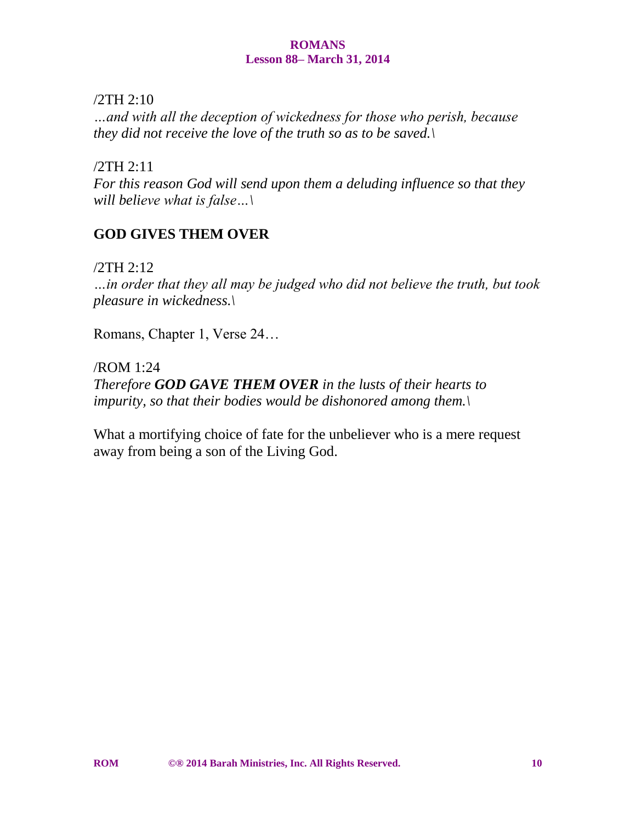/2TH 2:10

*…and with all the deception of wickedness for those who perish, because they did not receive the love of the truth so as to be saved.\*

/2TH 2:11

*For this reason God will send upon them a deluding influence so that they will believe what is false…\*

# **GOD GIVES THEM OVER**

/2TH 2:12

*…in order that they all may be judged who did not believe the truth, but took pleasure in wickedness.\*

Romans, Chapter 1, Verse 24…

/ROM 1:24 *Therefore GOD GAVE THEM OVER in the lusts of their hearts to impurity, so that their bodies would be dishonored among them.\*

What a mortifying choice of fate for the unbeliever who is a mere request away from being a son of the Living God.